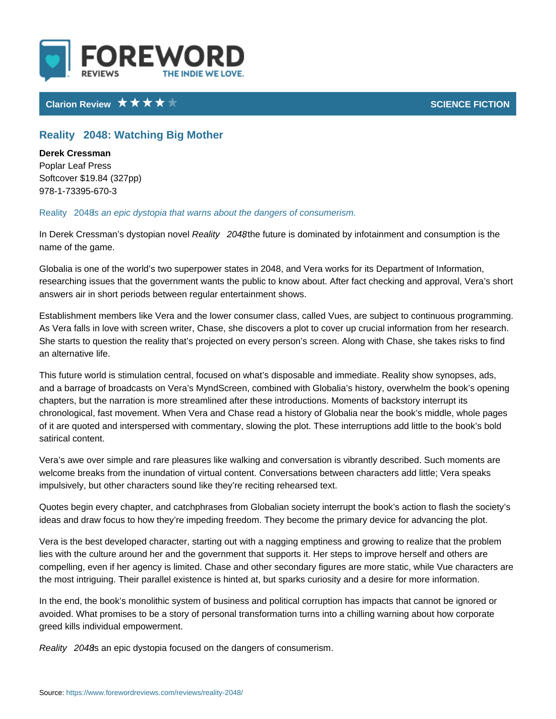## Clarion Review SCIENCE FICTION CONTROL CONTROL CONTROL CONTROL CONTROL CONTROL CONTROL CONTROL CONTROL CONTROL CONTROL CONTROL CONTROL CONTROL CONTROL CONTROL CONTROL CONTROL CONTROL CONTROL CONTROL CONTROL CONTROL CONTROL

## Reality!" 2048: Watching Big Mother

Derek Cressman Poplar Leaf Press Softcover \$19.84 (327pp) 978-1-73395-670-3

Reality!" 2s0 48 epic dystopia that warns about the dangers of consumerism.

In Derek Cressman s dy & teo apliintyn!" ,n2not whe future is dominated by infotainment and co name of the game.

Globalia is one of the world s two superpower states in 2048, and Vera works for researching issues that the government wants the public to know about. After fact checking approval,  $\alpha$ answers air in short periods between regular entertainment shows.

Establishment members like Vera and the lower consumer class, called Vues, are As Vera falls in love with screen writer, Chase, she discovers a plot to cover u She starts to question the reality that s projected on every person s screen. Al an alternative life.

This future world is stimulation central, focused on what s disposable and imme and a barrage of broadcasts on Vera s MyndScreen, combined with Globalia s h chapters, but the narration is more streamlined after these introductions. Mome chronological, fast movement. When Vera and Chase read a history of Globalia of it are quoted and interspersed with commentary, slowing the plot. These inte satirical content.

Vera s awe over simple and rare pleasures like walking and conversation is vib welcome breaks from the inundation of virtual content. Conversations between a impulsively, but other characters sound like they re reciting rehearsed text.

Quotes begin every chapter, and catchphrases from Globalian society interrupt ideas and draw focus to how they re impeding freedom. They become the primar

Vera is the best developed character, starting out with a nagging emptiness and lies with the culture around her and the government that supports it. Her steps compelling, even if her agency is limited. Chase and other secondary figures ar the most intriguing. Their parallel existence is hinted at, but sparks curiosity a

In the end, the book s monolithic system of business and political corruption ha avoided. What promises to be a story of personal transformation turns into a ch greed kills individual empowerment.

Reality!" 28048 epic dystopia focused on the dangers of consumerism.